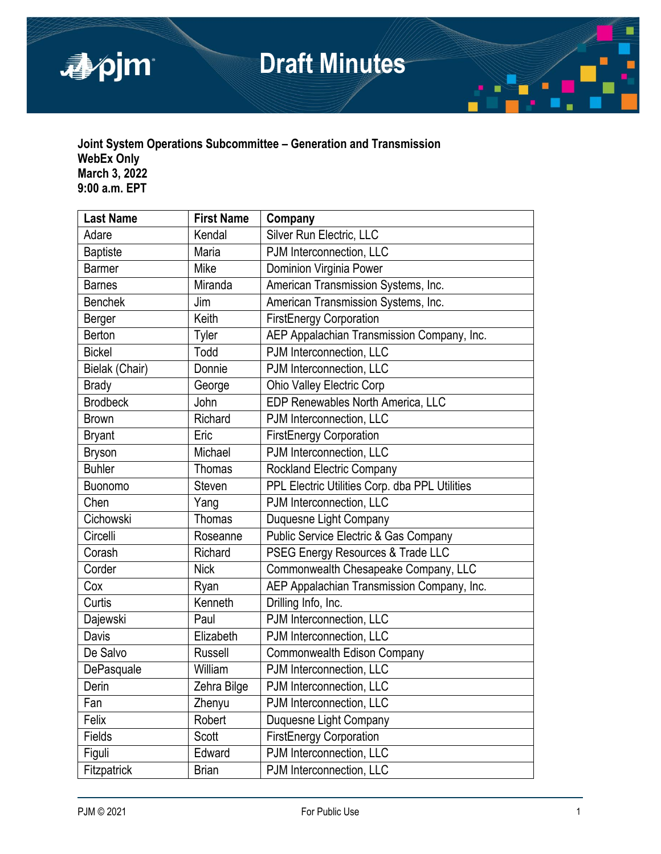

# **Draft Minutes**

# **Joint System Operations Subcommittee – Generation and Transmission WebEx Only March 3, 2022 9:00 a.m. EPT**

| <b>Last Name</b> | <b>First Name</b> | Company                                        |
|------------------|-------------------|------------------------------------------------|
| Adare            | Kendal            | Silver Run Electric, LLC                       |
| <b>Baptiste</b>  | Maria             | PJM Interconnection, LLC                       |
| <b>Barmer</b>    | Mike              | Dominion Virginia Power                        |
| <b>Barnes</b>    | Miranda           | American Transmission Systems, Inc.            |
| <b>Benchek</b>   | Jim               | American Transmission Systems, Inc.            |
| Berger           | Keith             | <b>FirstEnergy Corporation</b>                 |
| Berton           | Tyler             | AEP Appalachian Transmission Company, Inc.     |
| <b>Bickel</b>    | Todd              | PJM Interconnection, LLC                       |
| Bielak (Chair)   | Donnie            | PJM Interconnection, LLC                       |
| <b>Brady</b>     | George            | <b>Ohio Valley Electric Corp</b>               |
| <b>Brodbeck</b>  | John              | EDP Renewables North America, LLC              |
| <b>Brown</b>     | Richard           | PJM Interconnection, LLC                       |
| <b>Bryant</b>    | Eric              | <b>FirstEnergy Corporation</b>                 |
| <b>Bryson</b>    | Michael           | PJM Interconnection, LLC                       |
| <b>Buhler</b>    | Thomas            | <b>Rockland Electric Company</b>               |
| Buonomo          | <b>Steven</b>     | PPL Electric Utilities Corp. dba PPL Utilities |
| Chen             | Yang              | PJM Interconnection, LLC                       |
| Cichowski        | <b>Thomas</b>     | Duquesne Light Company                         |
| Circelli         | Roseanne          | Public Service Electric & Gas Company          |
| Corash           | Richard           | PSEG Energy Resources & Trade LLC              |
| Corder           | <b>Nick</b>       | Commonwealth Chesapeake Company, LLC           |
| Cox              | Ryan              | AEP Appalachian Transmission Company, Inc.     |
| Curtis           | Kenneth           | Drilling Info, Inc.                            |
| Dajewski         | Paul              | PJM Interconnection, LLC                       |
| Davis            | Elizabeth         | PJM Interconnection, LLC                       |
| De Salvo         | <b>Russell</b>    | <b>Commonwealth Edison Company</b>             |
| DePasquale       | William           | PJM Interconnection, LLC                       |
| Derin            | Zehra Bilge       | PJM Interconnection, LLC                       |
| Fan              | Zhenyu            | PJM Interconnection, LLC                       |
| Felix            | Robert            | Duquesne Light Company                         |
| Fields           | Scott             | <b>FirstEnergy Corporation</b>                 |
| Figuli           | Edward            | PJM Interconnection, LLC                       |
| Fitzpatrick      | <b>Brian</b>      | PJM Interconnection, LLC                       |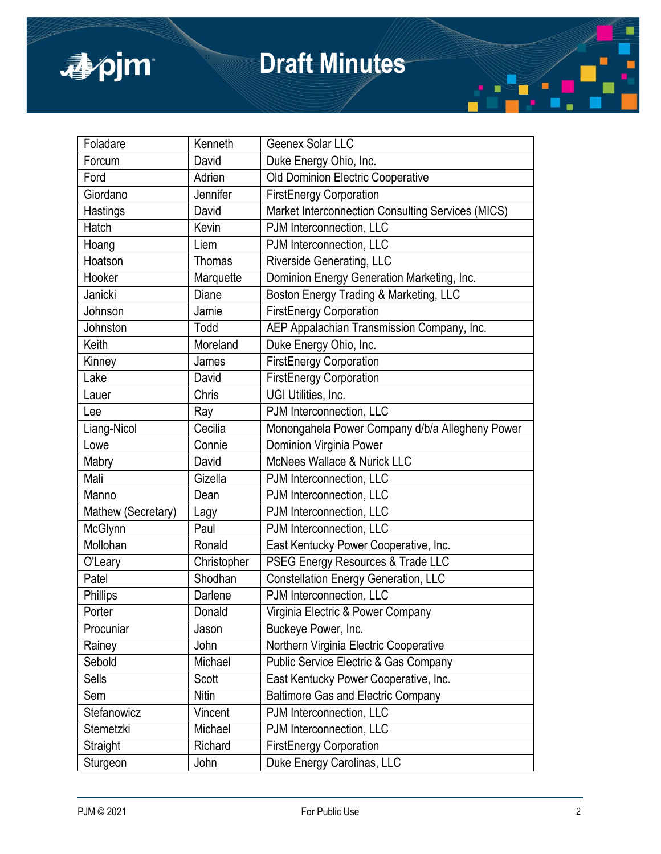

# **Draft Minutes**

| Foladare           | Kenneth     | Geenex Solar LLC                                  |
|--------------------|-------------|---------------------------------------------------|
| Forcum             | David       | Duke Energy Ohio, Inc.                            |
| Ford               | Adrien      | Old Dominion Electric Cooperative                 |
| Giordano           | Jennifer    | <b>FirstEnergy Corporation</b>                    |
| Hastings           | David       | Market Interconnection Consulting Services (MICS) |
| Hatch              | Kevin       | PJM Interconnection, LLC                          |
| Hoang              | Liem        | PJM Interconnection, LLC                          |
| Hoatson            | Thomas      | <b>Riverside Generating, LLC</b>                  |
| Hooker             | Marquette   | Dominion Energy Generation Marketing, Inc.        |
| Janicki            | Diane       | Boston Energy Trading & Marketing, LLC            |
| Johnson            | Jamie       | <b>FirstEnergy Corporation</b>                    |
| Johnston           | Todd        | AEP Appalachian Transmission Company, Inc.        |
| Keith              | Moreland    | Duke Energy Ohio, Inc.                            |
| Kinney             | James       | <b>FirstEnergy Corporation</b>                    |
| Lake               | David       | <b>FirstEnergy Corporation</b>                    |
| Lauer              | Chris       | UGI Utilities, Inc.                               |
| Lee                | Ray         | PJM Interconnection, LLC                          |
| Liang-Nicol        | Cecilia     | Monongahela Power Company d/b/a Allegheny Power   |
| Lowe               | Connie      | Dominion Virginia Power                           |
| Mabry              | David       | McNees Wallace & Nurick LLC                       |
| Mali               | Gizella     | PJM Interconnection, LLC                          |
| Manno              | Dean        | PJM Interconnection, LLC                          |
| Mathew (Secretary) | Lagy        | PJM Interconnection, LLC                          |
| McGlynn            | Paul        | PJM Interconnection, LLC                          |
| Mollohan           | Ronald      | East Kentucky Power Cooperative, Inc.             |
| O'Leary            | Christopher | PSEG Energy Resources & Trade LLC                 |
| Patel              | Shodhan     | <b>Constellation Energy Generation, LLC</b>       |
| Phillips           | Darlene     | PJM Interconnection, LLC                          |
| Porter             | Donald      | Virginia Electric & Power Company                 |
| Procuniar          | Jason       | Buckeye Power, Inc.                               |
| Rainey             | John        | Northern Virginia Electric Cooperative            |
| Sebold             | Michael     | Public Service Electric & Gas Company             |
| Sells              | Scott       | East Kentucky Power Cooperative, Inc.             |
| Sem                | Nitin       | <b>Baltimore Gas and Electric Company</b>         |
| Stefanowicz        | Vincent     | PJM Interconnection, LLC                          |
| Stemetzki          | Michael     | PJM Interconnection, LLC                          |
| Straight           | Richard     | <b>FirstEnergy Corporation</b>                    |
| Sturgeon           | John        | Duke Energy Carolinas, LLC                        |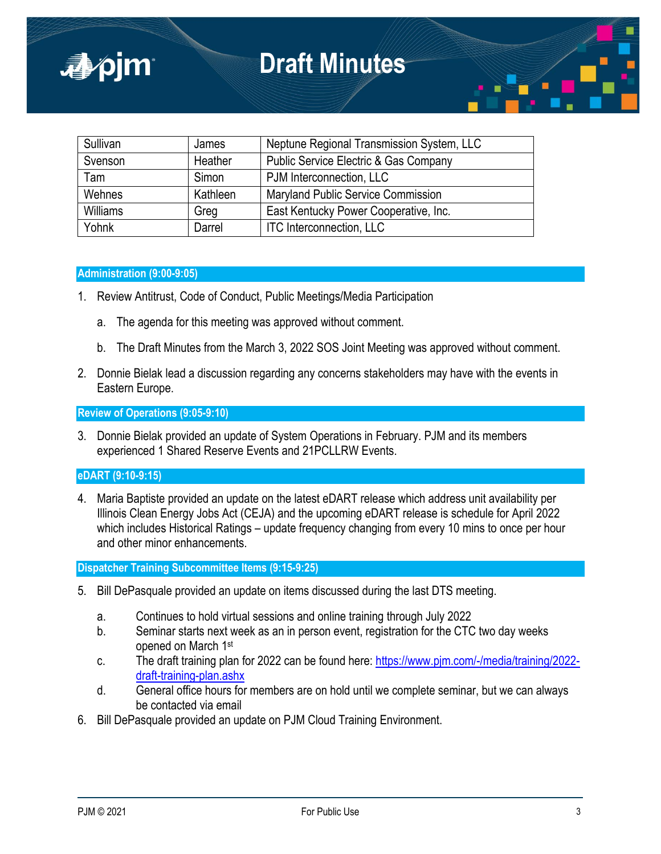| Sullivan        | James    | Neptune Regional Transmission System, LLC        |
|-----------------|----------|--------------------------------------------------|
| Svenson         | Heather  | <b>Public Service Electric &amp; Gas Company</b> |
| Tam             | Simon    | PJM Interconnection, LLC                         |
| Wehnes          | Kathleen | Maryland Public Service Commission               |
| <b>Williams</b> | Greg     | East Kentucky Power Cooperative, Inc.            |
| Yohnk           | Darrel   | <b>ITC Interconnection, LLC</b>                  |

## **Administration (9:00-9:05)**

■pjm

- 1. Review Antitrust, Code of Conduct, Public Meetings/Media Participation
	- a. The agenda for this meeting was approved without comment.
	- b. The Draft Minutes from the March 3, 2022 SOS Joint Meeting was approved without comment.
- 2. Donnie Bielak lead a discussion regarding any concerns stakeholders may have with the events in Eastern Europe.

**Review of Operations (9:05-9:10)**

3. Donnie Bielak provided an update of System Operations in February. PJM and its members experienced 1 Shared Reserve Events and 21PCLLRW Events.

# **eDART (9:10-9:15)**

4. Maria Baptiste provided an update on the latest eDART release which address unit availability per Illinois Clean Energy Jobs Act (CEJA) and the upcoming eDART release is schedule for April 2022 which includes Historical Ratings – update frequency changing from every 10 mins to once per hour and other minor enhancements.

## **Dispatcher Training Subcommittee Items (9:15-9:25)**

- 5. Bill DePasquale provided an update on items discussed during the last DTS meeting.
	- a. Continues to hold virtual sessions and online training through July 2022
	- b. Seminar starts next week as an in person event, registration for the CTC two day weeks opened on March 1st
	- c. The draft training plan for 2022 can be found here: [https://www.pjm.com/-/media/training/2022](https://www.pjm.com/-/media/training/2022-%20draft-training-plan.ashx) [draft-training-plan.ashx](https://www.pjm.com/-/media/training/2022-%20draft-training-plan.ashx)
	- d. General office hours for members are on hold until we complete seminar, but we can always be contacted via email
- 6. Bill DePasquale provided an update on PJM Cloud Training Environment.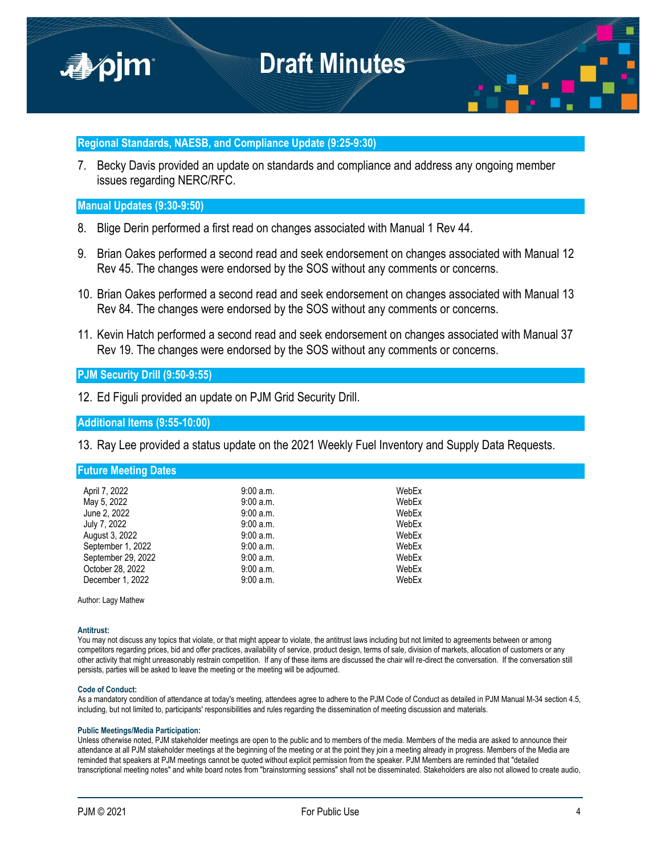

## **Regional Standards, NAESB, and Compliance Update (9:25-9:30)**

7. Becky Davis provided an update on standards and compliance and address any ongoing member issues regarding NERC/RFC.

### **Manual Updates (9:30-9:50)**

- 8. Blige Derin performed a first read on changes associated with Manual 1 Rev 44.
- 9. Brian Oakes performed a second read and seek endorsement on changes associated with Manual 12 Rev 45. The changes were endorsed by the SOS without any comments or concerns.
- 10. Brian Oakes performed a second read and seek endorsement on changes associated with Manual 13 Rev 84. The changes were endorsed by the SOS without any comments or concerns.
- 11. Kevin Hatch performed a second read and seek endorsement on changes associated with Manual 37 Rev 19. The changes were endorsed by the SOS without any comments or concerns.

## **PJM Security Drill (9:50-9:55)**

12. Ed Figuli provided an update on PJM Grid Security Drill.

**Additional Items (9:55-10:00)**

13. Ray Lee provided a status update on the 2021 Weekly Fuel Inventory and Supply Data Requests.

**Future Meeting Dates**

| April 7, 2022<br>May 5, 2022<br>June 2, 2022<br>July 7, 2022<br>August 3, 2022 | $9:00$ a.m.<br>9:00 a.m.<br>9:00a.m.<br>9:00 a.m.<br>9:00 a.m. | WebEx<br>WebEx<br>WebEx<br>WebEx<br>WebEx |
|--------------------------------------------------------------------------------|----------------------------------------------------------------|-------------------------------------------|
| September 1, 2022                                                              | 9:00a.m.                                                       | WebEx                                     |
| September 29, 2022                                                             | 9:00 a.m.                                                      | WebEx                                     |
| October 28, 2022                                                               | 9:00 a.m.                                                      | WebEx                                     |
| December 1, 2022                                                               | 9:00 a.m.                                                      | WebEx                                     |

Author: Lagy Mathew

### **Antitrust:**

You may not discuss any topics that violate, or that might appear to violate, the antitrust laws including but not limited to agreements between or among competitors regarding prices, bid and offer practices, availability of service, product design, terms of sale, division of markets, allocation of customers or any other activity that might unreasonably restrain competition. If any of these items are discussed the chair will re-direct the conversation. If the conversation still persists, parties will be asked to leave the meeting or the meeting will be adjourned.

#### **Code of Conduct:**

As a mandatory condition of attendance at today's meeting, attendees agree to adhere to the PJM Code of Conduct as detailed in PJM Manual M-34 section 4.5, including, but not limited to, participants' responsibilities and rules regarding the dissemination of meeting discussion and materials.

#### **Public Meetings/Media Participation:**

Unless otherwise noted, PJM stakeholder meetings are open to the public and to members of the media. Members of the media are asked to announce their attendance at all PJM stakeholder meetings at the beginning of the meeting or at the point they join a meeting already in progress. Members of the Media are reminded that speakers at PJM meetings cannot be quoted without explicit permission from the speaker. PJM Members are reminded that "detailed transcriptional meeting notes" and white board notes from "brainstorming sessions" shall not be disseminated. Stakeholders are also not allowed to create audio,